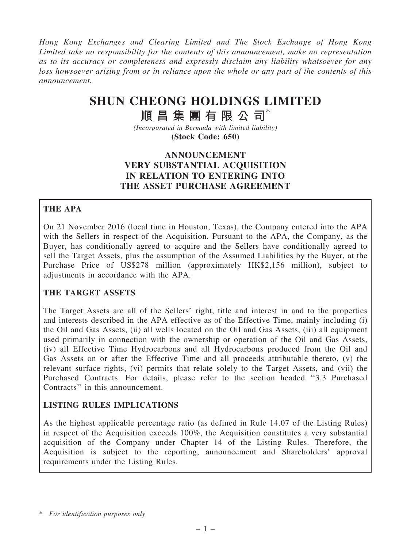Hong Kong Exchanges and Clearing Limited and The Stock Exchange of Hong Kong Limited take no responsibility for the contents of this announcement, make no representation as to its accuracy or completeness and expressly disclaim any liability whatsoever for any loss howsoever arising from or in reliance upon the whole or any part of the contents of this announcement.

## SHUN CHEONG HOLDINGS LIMITED

# 順昌集團有限公司\*

(Incorporated in Bermuda with limited liability) (Stock Code: 650)

## ANNOUNCEMENT VERY SUBSTANTIAL ACQUISITION IN RELATION TO ENTERING INTO THE ASSET PURCHASE AGREEMENT

#### THE APA

On 21 November 2016 (local time in Houston, Texas), the Company entered into the APA with the Sellers in respect of the Acquisition. Pursuant to the APA, the Company, as the Buyer, has conditionally agreed to acquire and the Sellers have conditionally agreed to sell the Target Assets, plus the assumption of the Assumed Liabilities by the Buyer, at the Purchase Price of US\$278 million (approximately HK\$2,156 million), subject to adjustments in accordance with the APA.

#### THE TARGET ASSETS

The Target Assets are all of the Sellers' right, title and interest in and to the properties and interests described in the APA effective as of the Effective Time, mainly including (i) the Oil and Gas Assets, (ii) all wells located on the Oil and Gas Assets, (iii) all equipment used primarily in connection with the ownership or operation of the Oil and Gas Assets, (iv) all Effective Time Hydrocarbons and all Hydrocarbons produced from the Oil and Gas Assets on or after the Effective Time and all proceeds attributable thereto, (v) the relevant surface rights, (vi) permits that relate solely to the Target Assets, and (vii) the Purchased Contracts. For details, please refer to the section headed ''3.3 Purchased Contracts'' in this announcement.

#### LISTING RULES IMPLICATIONS

As the highest applicable percentage ratio (as defined in Rule 14.07 of the Listing Rules) in respect of the Acquisition exceeds 100%, the Acquisition constitutes a very substantial acquisition of the Company under Chapter 14 of the Listing Rules. Therefore, the Acquisition is subject to the reporting, announcement and Shareholders' approval requirements under the Listing Rules.

<sup>\*</sup> For identification purposes only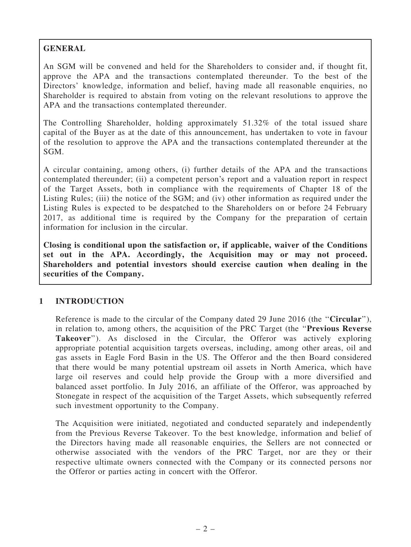## GENERAL

An SGM will be convened and held for the Shareholders to consider and, if thought fit, approve the APA and the transactions contemplated thereunder. To the best of the Directors' knowledge, information and belief, having made all reasonable enquiries, no Shareholder is required to abstain from voting on the relevant resolutions to approve the APA and the transactions contemplated thereunder.

The Controlling Shareholder, holding approximately 51.32% of the total issued share capital of the Buyer as at the date of this announcement, has undertaken to vote in favour of the resolution to approve the APA and the transactions contemplated thereunder at the SGM.

A circular containing, among others, (i) further details of the APA and the transactions contemplated thereunder; (ii) a competent person's report and a valuation report in respect of the Target Assets, both in compliance with the requirements of Chapter 18 of the Listing Rules; (iii) the notice of the SGM; and (iv) other information as required under the Listing Rules is expected to be despatched to the Shareholders on or before 24 February 2017, as additional time is required by the Company for the preparation of certain information for inclusion in the circular.

Closing is conditional upon the satisfaction or, if applicable, waiver of the Conditions set out in the APA. Accordingly, the Acquisition may or may not proceed. Shareholders and potential investors should exercise caution when dealing in the securities of the Company.

#### 1 INTRODUCTION

Reference is made to the circular of the Company dated 29 June 2016 (the "Circular"), in relation to, among others, the acquisition of the PRC Target (the ''Previous Reverse Takeover''). As disclosed in the Circular, the Offeror was actively exploring appropriate potential acquisition targets overseas, including, among other areas, oil and gas assets in Eagle Ford Basin in the US. The Offeror and the then Board considered that there would be many potential upstream oil assets in North America, which have large oil reserves and could help provide the Group with a more diversified and balanced asset portfolio. In July 2016, an affiliate of the Offeror, was approached by Stonegate in respect of the acquisition of the Target Assets, which subsequently referred such investment opportunity to the Company.

The Acquisition were initiated, negotiated and conducted separately and independently from the Previous Reverse Takeover. To the best knowledge, information and belief of the Directors having made all reasonable enquiries, the Sellers are not connected or otherwise associated with the vendors of the PRC Target, nor are they or their respective ultimate owners connected with the Company or its connected persons nor the Offeror or parties acting in concert with the Offeror.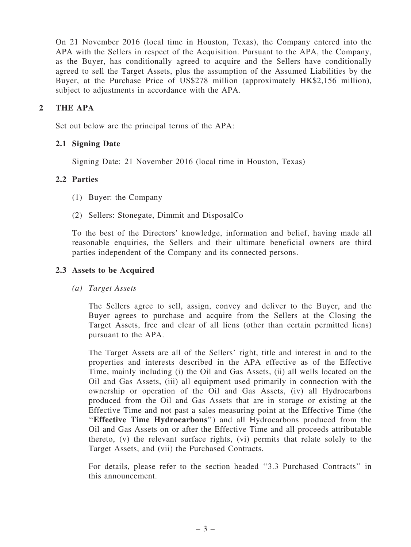On 21 November 2016 (local time in Houston, Texas), the Company entered into the APA with the Sellers in respect of the Acquisition. Pursuant to the APA, the Company, as the Buyer, has conditionally agreed to acquire and the Sellers have conditionally agreed to sell the Target Assets, plus the assumption of the Assumed Liabilities by the Buyer, at the Purchase Price of US\$278 million (approximately HK\$2,156 million), subject to adjustments in accordance with the APA.

#### 2 THE APA

Set out below are the principal terms of the APA:

#### 2.1 Signing Date

Signing Date: 21 November 2016 (local time in Houston, Texas)

#### 2.2 Parties

- (1) Buyer: the Company
- (2) Sellers: Stonegate, Dimmit and DisposalCo

To the best of the Directors' knowledge, information and belief, having made all reasonable enquiries, the Sellers and their ultimate beneficial owners are third parties independent of the Company and its connected persons.

#### 2.3 Assets to be Acquired

(a) Target Assets

The Sellers agree to sell, assign, convey and deliver to the Buyer, and the Buyer agrees to purchase and acquire from the Sellers at the Closing the Target Assets, free and clear of all liens (other than certain permitted liens) pursuant to the APA.

The Target Assets are all of the Sellers' right, title and interest in and to the properties and interests described in the APA effective as of the Effective Time, mainly including (i) the Oil and Gas Assets, (ii) all wells located on the Oil and Gas Assets, (iii) all equipment used primarily in connection with the ownership or operation of the Oil and Gas Assets, (iv) all Hydrocarbons produced from the Oil and Gas Assets that are in storage or existing at the Effective Time and not past a sales measuring point at the Effective Time (the ''Effective Time Hydrocarbons'') and all Hydrocarbons produced from the Oil and Gas Assets on or after the Effective Time and all proceeds attributable thereto, (v) the relevant surface rights, (vi) permits that relate solely to the Target Assets, and (vii) the Purchased Contracts.

For details, please refer to the section headed ''3.3 Purchased Contracts'' in this announcement.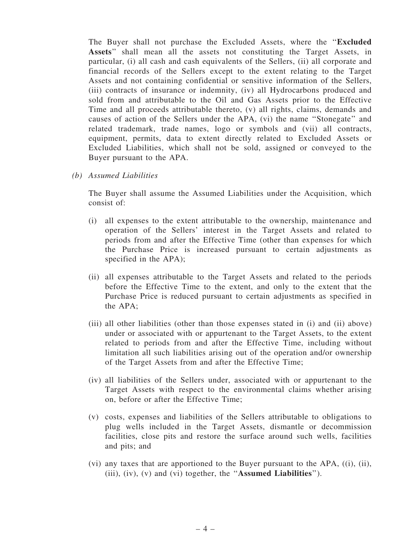The Buyer shall not purchase the Excluded Assets, where the ''Excluded Assets'' shall mean all the assets not constituting the Target Assets, in particular, (i) all cash and cash equivalents of the Sellers, (ii) all corporate and financial records of the Sellers except to the extent relating to the Target Assets and not containing confidential or sensitive information of the Sellers, (iii) contracts of insurance or indemnity, (iv) all Hydrocarbons produced and sold from and attributable to the Oil and Gas Assets prior to the Effective Time and all proceeds attributable thereto, (v) all rights, claims, demands and causes of action of the Sellers under the APA, (vi) the name ''Stonegate'' and related trademark, trade names, logo or symbols and (vii) all contracts, equipment, permits, data to extent directly related to Excluded Assets or Excluded Liabilities, which shall not be sold, assigned or conveyed to the Buyer pursuant to the APA.

(b) Assumed Liabilities

The Buyer shall assume the Assumed Liabilities under the Acquisition, which consist of:

- (i) all expenses to the extent attributable to the ownership, maintenance and operation of the Sellers' interest in the Target Assets and related to periods from and after the Effective Time (other than expenses for which the Purchase Price is increased pursuant to certain adjustments as specified in the APA);
- (ii) all expenses attributable to the Target Assets and related to the periods before the Effective Time to the extent, and only to the extent that the Purchase Price is reduced pursuant to certain adjustments as specified in the APA;
- (iii) all other liabilities (other than those expenses stated in (i) and (ii) above) under or associated with or appurtenant to the Target Assets, to the extent related to periods from and after the Effective Time, including without limitation all such liabilities arising out of the operation and/or ownership of the Target Assets from and after the Effective Time;
- (iv) all liabilities of the Sellers under, associated with or appurtenant to the Target Assets with respect to the environmental claims whether arising on, before or after the Effective Time;
- (v) costs, expenses and liabilities of the Sellers attributable to obligations to plug wells included in the Target Assets, dismantle or decommission facilities, close pits and restore the surface around such wells, facilities and pits; and
- (vi) any taxes that are apportioned to the Buyer pursuant to the APA, ((i), (ii), (iii), (iv), (v) and (vi) together, the ''Assumed Liabilities'').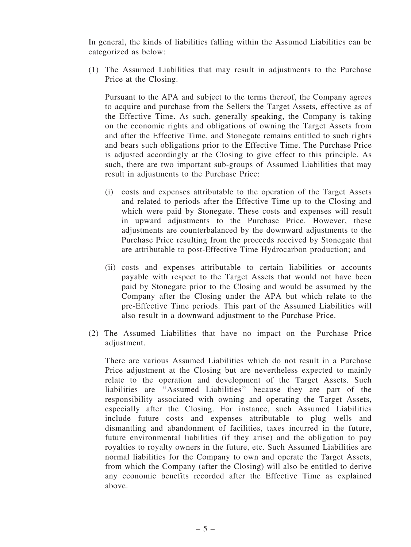In general, the kinds of liabilities falling within the Assumed Liabilities can be categorized as below:

(1) The Assumed Liabilities that may result in adjustments to the Purchase Price at the Closing.

Pursuant to the APA and subject to the terms thereof, the Company agrees to acquire and purchase from the Sellers the Target Assets, effective as of the Effective Time. As such, generally speaking, the Company is taking on the economic rights and obligations of owning the Target Assets from and after the Effective Time, and Stonegate remains entitled to such rights and bears such obligations prior to the Effective Time. The Purchase Price is adjusted accordingly at the Closing to give effect to this principle. As such, there are two important sub-groups of Assumed Liabilities that may result in adjustments to the Purchase Price:

- (i) costs and expenses attributable to the operation of the Target Assets and related to periods after the Effective Time up to the Closing and which were paid by Stonegate. These costs and expenses will result in upward adjustments to the Purchase Price. However, these adjustments are counterbalanced by the downward adjustments to the Purchase Price resulting from the proceeds received by Stonegate that are attributable to post-Effective Time Hydrocarbon production; and
- (ii) costs and expenses attributable to certain liabilities or accounts payable with respect to the Target Assets that would not have been paid by Stonegate prior to the Closing and would be assumed by the Company after the Closing under the APA but which relate to the pre-Effective Time periods. This part of the Assumed Liabilities will also result in a downward adjustment to the Purchase Price.
- (2) The Assumed Liabilities that have no impact on the Purchase Price adjustment.

There are various Assumed Liabilities which do not result in a Purchase Price adjustment at the Closing but are nevertheless expected to mainly relate to the operation and development of the Target Assets. Such liabilities are ''Assumed Liabilities'' because they are part of the responsibility associated with owning and operating the Target Assets, especially after the Closing. For instance, such Assumed Liabilities include future costs and expenses attributable to plug wells and dismantling and abandonment of facilities, taxes incurred in the future, future environmental liabilities (if they arise) and the obligation to pay royalties to royalty owners in the future, etc. Such Assumed Liabilities are normal liabilities for the Company to own and operate the Target Assets, from which the Company (after the Closing) will also be entitled to derive any economic benefits recorded after the Effective Time as explained above.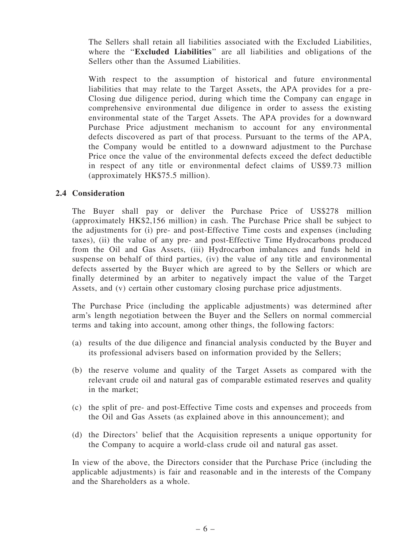The Sellers shall retain all liabilities associated with the Excluded Liabilities, where the "**Excluded Liabilities**" are all liabilities and obligations of the Sellers other than the Assumed Liabilities.

With respect to the assumption of historical and future environmental liabilities that may relate to the Target Assets, the APA provides for a pre-Closing due diligence period, during which time the Company can engage in comprehensive environmental due diligence in order to assess the existing environmental state of the Target Assets. The APA provides for a downward Purchase Price adjustment mechanism to account for any environmental defects discovered as part of that process. Pursuant to the terms of the APA, the Company would be entitled to a downward adjustment to the Purchase Price once the value of the environmental defects exceed the defect deductible in respect of any title or environmental defect claims of US\$9.73 million (approximately HK\$75.5 million).

#### 2.4 Consideration

The Buyer shall pay or deliver the Purchase Price of US\$278 million (approximately HK\$2,156 million) in cash. The Purchase Price shall be subject to the adjustments for (i) pre- and post-Effective Time costs and expenses (including taxes), (ii) the value of any pre- and post-Effective Time Hydrocarbons produced from the Oil and Gas Assets, (iii) Hydrocarbon imbalances and funds held in suspense on behalf of third parties, (iv) the value of any title and environmental defects asserted by the Buyer which are agreed to by the Sellers or which are finally determined by an arbiter to negatively impact the value of the Target Assets, and (v) certain other customary closing purchase price adjustments.

The Purchase Price (including the applicable adjustments) was determined after arm's length negotiation between the Buyer and the Sellers on normal commercial terms and taking into account, among other things, the following factors:

- (a) results of the due diligence and financial analysis conducted by the Buyer and its professional advisers based on information provided by the Sellers;
- (b) the reserve volume and quality of the Target Assets as compared with the relevant crude oil and natural gas of comparable estimated reserves and quality in the market;
- (c) the split of pre- and post-Effective Time costs and expenses and proceeds from the Oil and Gas Assets (as explained above in this announcement); and
- (d) the Directors' belief that the Acquisition represents a unique opportunity for the Company to acquire a world-class crude oil and natural gas asset.

In view of the above, the Directors consider that the Purchase Price (including the applicable adjustments) is fair and reasonable and in the interests of the Company and the Shareholders as a whole.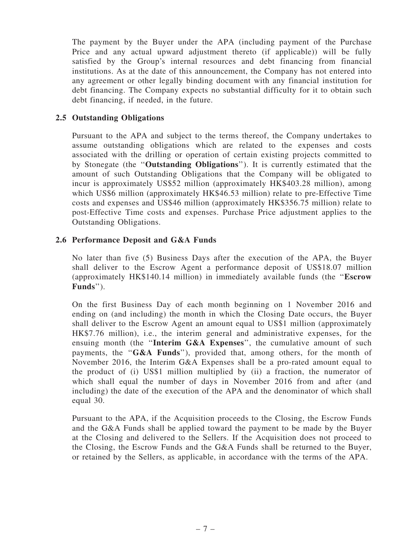The payment by the Buyer under the APA (including payment of the Purchase Price and any actual upward adjustment thereto (if applicable)) will be fully satisfied by the Group's internal resources and debt financing from financial institutions. As at the date of this announcement, the Company has not entered into any agreement or other legally binding document with any financial institution for debt financing. The Company expects no substantial difficulty for it to obtain such debt financing, if needed, in the future.

#### 2.5 Outstanding Obligations

Pursuant to the APA and subject to the terms thereof, the Company undertakes to assume outstanding obligations which are related to the expenses and costs associated with the drilling or operation of certain existing projects committed to by Stonegate (the ''Outstanding Obligations''). It is currently estimated that the amount of such Outstanding Obligations that the Company will be obligated to incur is approximately US\$52 million (approximately HK\$403.28 million), among which US\$6 million (approximately HK\$46.53 million) relate to pre-Effective Time costs and expenses and US\$46 million (approximately HK\$356.75 million) relate to post-Effective Time costs and expenses. Purchase Price adjustment applies to the Outstanding Obligations.

#### 2.6 Performance Deposit and G&A Funds

No later than five (5) Business Days after the execution of the APA, the Buyer shall deliver to the Escrow Agent a performance deposit of US\$18.07 million (approximately HK\$140.14 million) in immediately available funds (the ''Escrow Funds'').

On the first Business Day of each month beginning on 1 November 2016 and ending on (and including) the month in which the Closing Date occurs, the Buyer shall deliver to the Escrow Agent an amount equal to US\$1 million (approximately HK\$7.76 million), i.e., the interim general and administrative expenses, for the ensuing month (the "Interim G&A Expenses", the cumulative amount of such payments, the "G&A Funds"), provided that, among others, for the month of November 2016, the Interim G&A Expenses shall be a pro-rated amount equal to the product of (i) US\$1 million multiplied by (ii) a fraction, the numerator of which shall equal the number of days in November 2016 from and after (and including) the date of the execution of the APA and the denominator of which shall equal 30.

Pursuant to the APA, if the Acquisition proceeds to the Closing, the Escrow Funds and the G&A Funds shall be applied toward the payment to be made by the Buyer at the Closing and delivered to the Sellers. If the Acquisition does not proceed to the Closing, the Escrow Funds and the G&A Funds shall be returned to the Buyer, or retained by the Sellers, as applicable, in accordance with the terms of the APA.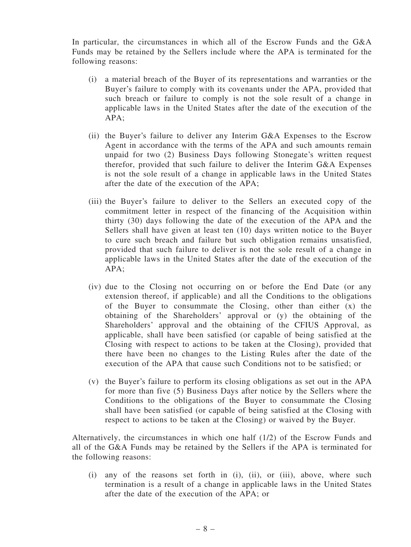In particular, the circumstances in which all of the Escrow Funds and the G&A Funds may be retained by the Sellers include where the APA is terminated for the following reasons:

- (i) a material breach of the Buyer of its representations and warranties or the Buyer's failure to comply with its covenants under the APA, provided that such breach or failure to comply is not the sole result of a change in applicable laws in the United States after the date of the execution of the APA;
- (ii) the Buyer's failure to deliver any Interim G&A Expenses to the Escrow Agent in accordance with the terms of the APA and such amounts remain unpaid for two (2) Business Days following Stonegate's written request therefor, provided that such failure to deliver the Interim G&A Expenses is not the sole result of a change in applicable laws in the United States after the date of the execution of the APA;
- (iii) the Buyer's failure to deliver to the Sellers an executed copy of the commitment letter in respect of the financing of the Acquisition within thirty (30) days following the date of the execution of the APA and the Sellers shall have given at least ten (10) days written notice to the Buyer to cure such breach and failure but such obligation remains unsatisfied, provided that such failure to deliver is not the sole result of a change in applicable laws in the United States after the date of the execution of the APA;
- (iv) due to the Closing not occurring on or before the End Date (or any extension thereof, if applicable) and all the Conditions to the obligations of the Buyer to consummate the Closing, other than either (x) the obtaining of the Shareholders' approval or (y) the obtaining of the Shareholders' approval and the obtaining of the CFIUS Approval, as applicable, shall have been satisfied (or capable of being satisfied at the Closing with respect to actions to be taken at the Closing), provided that there have been no changes to the Listing Rules after the date of the execution of the APA that cause such Conditions not to be satisfied; or
- (v) the Buyer's failure to perform its closing obligations as set out in the APA for more than five (5) Business Days after notice by the Sellers where the Conditions to the obligations of the Buyer to consummate the Closing shall have been satisfied (or capable of being satisfied at the Closing with respect to actions to be taken at the Closing) or waived by the Buyer.

Alternatively, the circumstances in which one half (1/2) of the Escrow Funds and all of the G&A Funds may be retained by the Sellers if the APA is terminated for the following reasons:

(i) any of the reasons set forth in (i), (ii), or (iii), above, where such termination is a result of a change in applicable laws in the United States after the date of the execution of the APA; or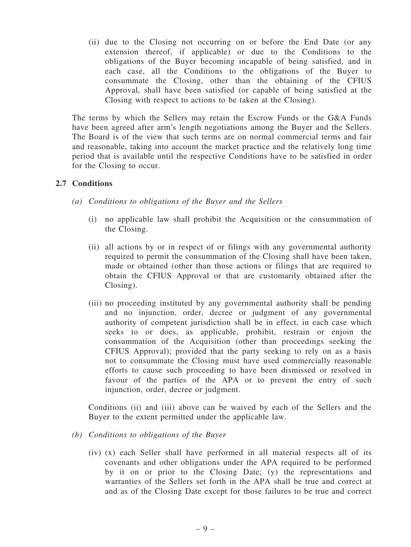(ii) due to the Closing not occurring on or before the End Date (or any extension thereof, if applicable) or due to the Conditions to the obligations of the Buyer becoming incapable of being satisfied, and in each case, all the Conditions to the obligations of the Buyer to consummate the Closing, other than the obtaining of the CFIUS Approval, shall have been satisfied (or capable of being satisfied at the Closing with respect to actions to be taken at the Closing).

The terms by which the Sellers may retain the Escrow Funds or the G&A Funds have been agreed after arm's length negotiations among the Buyer and the Sellers. The Board is of the view that such terms are on normal commercial terms and fair and reasonable, taking into account the market practice and the relatively long time period that is available until the respective Conditions have to be satisfied in order for the Closing to occur.

#### 2.7 Conditions

- (a) Conditions to obligations of the Buyer and the Sellers
	- (i) no applicable law shall prohibit the Acquisition or the consummation of the Closing.
	- (ii) all actions by or in respect of or filings with any governmental authority required to permit the consummation of the Closing shall have been taken, made or obtained (other than those actions or filings that are required to obtain the CFIUS Approval or that are customarily obtained after the Closing).
	- (iii) no proceeding instituted by any governmental authority shall be pending and no injunction, order, decree or judgment of any governmental authority of competent jurisdiction shall be in effect, in each case which seeks to or does, as applicable, prohibit, restrain or enjoin the consummation of the Acquisition (other than proceedings seeking the CFIUS Approval); provided that the party seeking to rely on as a basis not to consummate the Closing must have used commercially reasonable efforts to cause such proceeding to have been dismissed or resolved in favour of the parties of the APA or to prevent the entry of such injunction, order, decree or judgment.

Conditions (ii) and (iii) above can be waived by each of the Sellers and the Buyer to the extent permitted under the applicable law.

- (b) Conditions to obligations of the Buyer
	- (iv) (x) each Seller shall have performed in all material respects all of its covenants and other obligations under the APA required to be performed by it on or prior to the Closing Date; (y) the representations and warranties of the Sellers set forth in the APA shall be true and correct at and as of the Closing Date except for those failures to be true and correct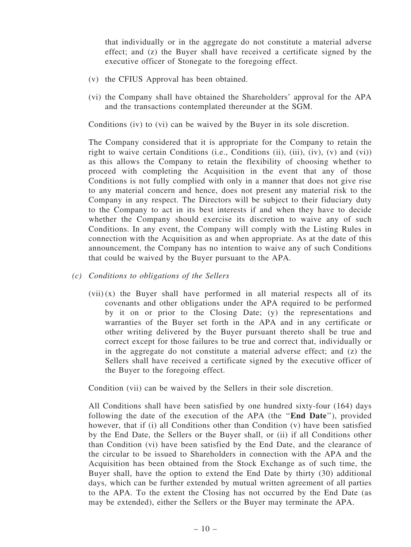that individually or in the aggregate do not constitute a material adverse effect; and (z) the Buyer shall have received a certificate signed by the executive officer of Stonegate to the foregoing effect.

- (v) the CFIUS Approval has been obtained.
- (vi) the Company shall have obtained the Shareholders' approval for the APA and the transactions contemplated thereunder at the SGM.

Conditions (iv) to (vi) can be waived by the Buyer in its sole discretion.

The Company considered that it is appropriate for the Company to retain the right to waive certain Conditions (i.e., Conditions (ii), (iii),  $(iv)$ ,  $(v)$  and  $(vi)$ ) as this allows the Company to retain the flexibility of choosing whether to proceed with completing the Acquisition in the event that any of those Conditions is not fully complied with only in a manner that does not give rise to any material concern and hence, does not present any material risk to the Company in any respect. The Directors will be subject to their fiduciary duty to the Company to act in its best interests if and when they have to decide whether the Company should exercise its discretion to waive any of such Conditions. In any event, the Company will comply with the Listing Rules in connection with the Acquisition as and when appropriate. As at the date of this announcement, the Company has no intention to waive any of such Conditions that could be waived by the Buyer pursuant to the APA.

- (c) Conditions to obligations of the Sellers
	- $(vii)(x)$  the Buyer shall have performed in all material respects all of its covenants and other obligations under the APA required to be performed by it on or prior to the Closing Date; (y) the representations and warranties of the Buyer set forth in the APA and in any certificate or other writing delivered by the Buyer pursuant thereto shall be true and correct except for those failures to be true and correct that, individually or in the aggregate do not constitute a material adverse effect; and  $(z)$  the Sellers shall have received a certificate signed by the executive officer of the Buyer to the foregoing effect.

Condition (vii) can be waived by the Sellers in their sole discretion.

All Conditions shall have been satisfied by one hundred sixty-four (164) days following the date of the execution of the APA (the "**End Date**"), provided however, that if (i) all Conditions other than Condition (v) have been satisfied by the End Date, the Sellers or the Buyer shall, or (ii) if all Conditions other than Condition (vi) have been satisfied by the End Date, and the clearance of the circular to be issued to Shareholders in connection with the APA and the Acquisition has been obtained from the Stock Exchange as of such time, the Buyer shall, have the option to extend the End Date by thirty (30) additional days, which can be further extended by mutual written agreement of all parties to the APA. To the extent the Closing has not occurred by the End Date (as may be extended), either the Sellers or the Buyer may terminate the APA.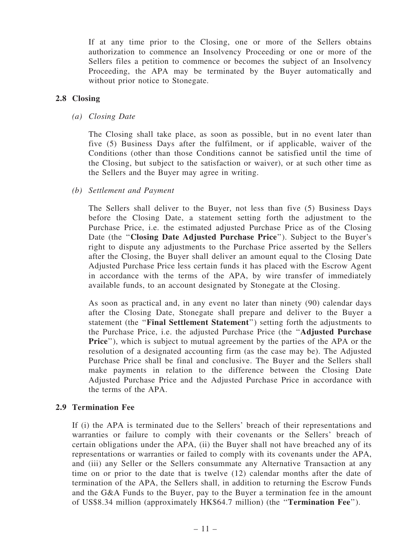If at any time prior to the Closing, one or more of the Sellers obtains authorization to commence an Insolvency Proceeding or one or more of the Sellers files a petition to commence or becomes the subject of an Insolvency Proceeding, the APA may be terminated by the Buyer automatically and without prior notice to Stonegate.

#### 2.8 Closing

(a) Closing Date

The Closing shall take place, as soon as possible, but in no event later than five (5) Business Days after the fulfilment, or if applicable, waiver of the Conditions (other than those Conditions cannot be satisfied until the time of the Closing, but subject to the satisfaction or waiver), or at such other time as the Sellers and the Buyer may agree in writing.

(b) Settlement and Payment

The Sellers shall deliver to the Buyer, not less than five (5) Business Days before the Closing Date, a statement setting forth the adjustment to the Purchase Price, i.e. the estimated adjusted Purchase Price as of the Closing Date (the "Closing Date Adjusted Purchase Price"). Subject to the Buyer's right to dispute any adjustments to the Purchase Price asserted by the Sellers after the Closing, the Buyer shall deliver an amount equal to the Closing Date Adjusted Purchase Price less certain funds it has placed with the Escrow Agent in accordance with the terms of the APA, by wire transfer of immediately available funds, to an account designated by Stonegate at the Closing.

As soon as practical and, in any event no later than ninety (90) calendar days after the Closing Date, Stonegate shall prepare and deliver to the Buyer a statement (the ''Final Settlement Statement'') setting forth the adjustments to the Purchase Price, i.e. the adjusted Purchase Price (the ''Adjusted Purchase Price''), which is subject to mutual agreement by the parties of the APA or the resolution of a designated accounting firm (as the case may be). The Adjusted Purchase Price shall be final and conclusive. The Buyer and the Sellers shall make payments in relation to the difference between the Closing Date Adjusted Purchase Price and the Adjusted Purchase Price in accordance with the terms of the APA.

#### 2.9 Termination Fee

If (i) the APA is terminated due to the Sellers' breach of their representations and warranties or failure to comply with their covenants or the Sellers' breach of certain obligations under the APA, (ii) the Buyer shall not have breached any of its representations or warranties or failed to comply with its covenants under the APA, and (iii) any Seller or the Sellers consummate any Alternative Transaction at any time on or prior to the date that is twelve (12) calendar months after the date of termination of the APA, the Sellers shall, in addition to returning the Escrow Funds and the G&A Funds to the Buyer, pay to the Buyer a termination fee in the amount of US\$8.34 million (approximately HK\$64.7 million) (the ''Termination Fee'').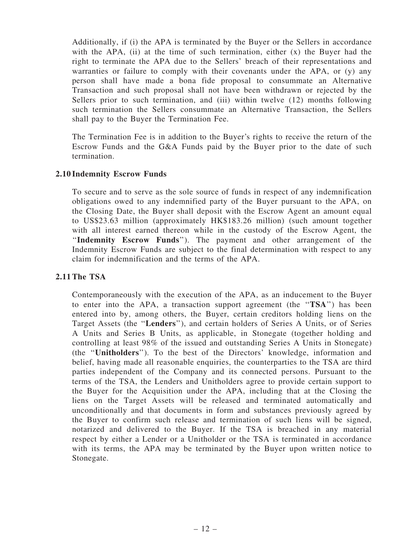Additionally, if (i) the APA is terminated by the Buyer or the Sellers in accordance with the APA, (ii) at the time of such termination, either  $(x)$  the Buyer had the right to terminate the APA due to the Sellers' breach of their representations and warranties or failure to comply with their covenants under the APA, or (y) any person shall have made a bona fide proposal to consummate an Alternative Transaction and such proposal shall not have been withdrawn or rejected by the Sellers prior to such termination, and (iii) within twelve (12) months following such termination the Sellers consummate an Alternative Transaction, the Sellers shall pay to the Buyer the Termination Fee.

The Termination Fee is in addition to the Buyer's rights to receive the return of the Escrow Funds and the G&A Funds paid by the Buyer prior to the date of such termination.

#### 2.10 Indemnity Escrow Funds

To secure and to serve as the sole source of funds in respect of any indemnification obligations owed to any indemnified party of the Buyer pursuant to the APA, on the Closing Date, the Buyer shall deposit with the Escrow Agent an amount equal to US\$23.63 million (approximately HK\$183.26 million) (such amount together with all interest earned thereon while in the custody of the Escrow Agent, the ''Indemnity Escrow Funds''). The payment and other arrangement of the Indemnity Escrow Funds are subject to the final determination with respect to any claim for indemnification and the terms of the APA.

#### 2.11 The TSA

Contemporaneously with the execution of the APA, as an inducement to the Buyer to enter into the APA, a transaction support agreement (the "TSA") has been entered into by, among others, the Buyer, certain creditors holding liens on the Target Assets (the ''Lenders''), and certain holders of Series A Units, or of Series A Units and Series B Units, as applicable, in Stonegate (together holding and controlling at least 98% of the issued and outstanding Series A Units in Stonegate) (the ''Unitholders''). To the best of the Directors' knowledge, information and belief, having made all reasonable enquiries, the counterparties to the TSA are third parties independent of the Company and its connected persons. Pursuant to the terms of the TSA, the Lenders and Unitholders agree to provide certain support to the Buyer for the Acquisition under the APA, including that at the Closing the liens on the Target Assets will be released and terminated automatically and unconditionally and that documents in form and substances previously agreed by the Buyer to confirm such release and termination of such liens will be signed, notarized and delivered to the Buyer. If the TSA is breached in any material respect by either a Lender or a Unitholder or the TSA is terminated in accordance with its terms, the APA may be terminated by the Buyer upon written notice to Stonegate.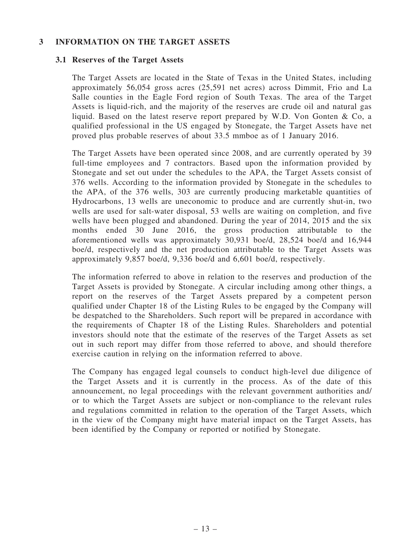#### 3 INFORMATION ON THE TARGET ASSETS

#### 3.1 Reserves of the Target Assets

The Target Assets are located in the State of Texas in the United States, including approximately 56,054 gross acres (25,591 net acres) across Dimmit, Frio and La Salle counties in the Eagle Ford region of South Texas. The area of the Target Assets is liquid-rich, and the majority of the reserves are crude oil and natural gas liquid. Based on the latest reserve report prepared by W.D. Von Gonten & Co, a qualified professional in the US engaged by Stonegate, the Target Assets have net proved plus probable reserves of about 33.5 mmboe as of 1 January 2016.

The Target Assets have been operated since 2008, and are currently operated by 39 full-time employees and 7 contractors. Based upon the information provided by Stonegate and set out under the schedules to the APA, the Target Assets consist of 376 wells. According to the information provided by Stonegate in the schedules to the APA, of the 376 wells, 303 are currently producing marketable quantities of Hydrocarbons, 13 wells are uneconomic to produce and are currently shut-in, two wells are used for salt-water disposal, 53 wells are waiting on completion, and five wells have been plugged and abandoned. During the year of 2014, 2015 and the six months ended 30 June 2016, the gross production attributable to the aforementioned wells was approximately 30,931 boe/d, 28,524 boe/d and 16,944 boe/d, respectively and the net production attributable to the Target Assets was approximately 9,857 boe/d, 9,336 boe/d and 6,601 boe/d, respectively.

The information referred to above in relation to the reserves and production of the Target Assets is provided by Stonegate. A circular including among other things, a report on the reserves of the Target Assets prepared by a competent person qualified under Chapter 18 of the Listing Rules to be engaged by the Company will be despatched to the Shareholders. Such report will be prepared in accordance with the requirements of Chapter 18 of the Listing Rules. Shareholders and potential investors should note that the estimate of the reserves of the Target Assets as set out in such report may differ from those referred to above, and should therefore exercise caution in relying on the information referred to above.

The Company has engaged legal counsels to conduct high-level due diligence of the Target Assets and it is currently in the process. As of the date of this announcement, no legal proceedings with the relevant government authorities and/ or to which the Target Assets are subject or non-compliance to the relevant rules and regulations committed in relation to the operation of the Target Assets, which in the view of the Company might have material impact on the Target Assets, has been identified by the Company or reported or notified by Stonegate.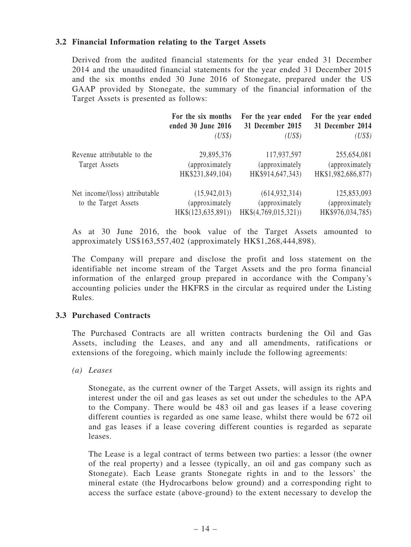#### 3.2 Financial Information relating to the Target Assets

Derived from the audited financial statements for the year ended 31 December 2014 and the unaudited financial statements for the year ended 31 December 2015 and the six months ended 30 June 2016 of Stonegate, prepared under the US GAAP provided by Stonegate, the summary of the financial information of the Target Assets is presented as follows:

|                                                        | For the six months<br>ended 30 June 2016<br>(US\$)   | For the year ended<br>31 December 2015<br>(US\$)          | For the year ended<br>31 December 2014<br>(US\$)    |
|--------------------------------------------------------|------------------------------------------------------|-----------------------------------------------------------|-----------------------------------------------------|
| Revenue attributable to the<br>Target Assets           | 29,895,376<br>(approximately<br>HK\$231,849,104)     | 117,937,597<br>(approximately<br>HK\$914,647,343)         | 255,654,081<br>(approximately<br>HK\$1,982,686,877) |
| Net income/(loss) attributable<br>to the Target Assets | (15,942,013)<br>(approximately<br>HK\$(123,635,891)) | (614, 932, 314)<br>(approximately<br>HK\$(4,769,015,321)) | 125,853,093<br>(approximately)<br>HK\$976,034,785)  |

As at 30 June 2016, the book value of the Target Assets amounted to approximately US\$163,557,402 (approximately HK\$1,268,444,898).

The Company will prepare and disclose the profit and loss statement on the identifiable net income stream of the Target Assets and the pro forma financial information of the enlarged group prepared in accordance with the Company's accounting policies under the HKFRS in the circular as required under the Listing Rules.

#### 3.3 Purchased Contracts

The Purchased Contracts are all written contracts burdening the Oil and Gas Assets, including the Leases, and any and all amendments, ratifications or extensions of the foregoing, which mainly include the following agreements:

(a) Leases

Stonegate, as the current owner of the Target Assets, will assign its rights and interest under the oil and gas leases as set out under the schedules to the APA to the Company. There would be 483 oil and gas leases if a lease covering different counties is regarded as one same lease, whilst there would be 672 oil and gas leases if a lease covering different counties is regarded as separate leases.

The Lease is a legal contract of terms between two parties: a lessor (the owner of the real property) and a lessee (typically, an oil and gas company such as Stonegate). Each Lease grants Stonegate rights in and to the lessors' the mineral estate (the Hydrocarbons below ground) and a corresponding right to access the surface estate (above-ground) to the extent necessary to develop the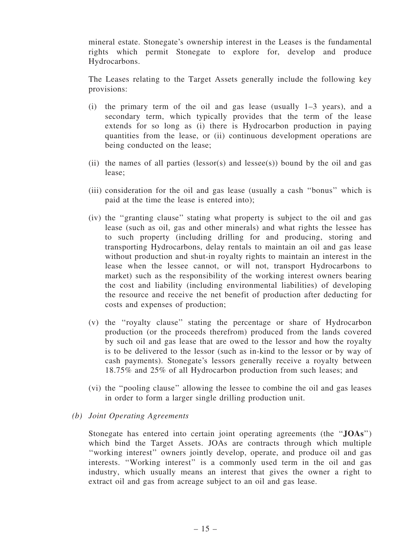mineral estate. Stonegate's ownership interest in the Leases is the fundamental rights which permit Stonegate to explore for, develop and produce Hydrocarbons.

The Leases relating to the Target Assets generally include the following key provisions:

- (i) the primary term of the oil and gas lease (usually 1–3 years), and a secondary term, which typically provides that the term of the lease extends for so long as (i) there is Hydrocarbon production in paying quantities from the lease, or (ii) continuous development operations are being conducted on the lease;
- (ii) the names of all parties (lessor(s) and lessee(s)) bound by the oil and gas lease;
- (iii) consideration for the oil and gas lease (usually a cash ''bonus'' which is paid at the time the lease is entered into);
- (iv) the ''granting clause'' stating what property is subject to the oil and gas lease (such as oil, gas and other minerals) and what rights the lessee has to such property (including drilling for and producing, storing and transporting Hydrocarbons, delay rentals to maintain an oil and gas lease without production and shut-in royalty rights to maintain an interest in the lease when the lessee cannot, or will not, transport Hydrocarbons to market) such as the responsibility of the working interest owners bearing the cost and liability (including environmental liabilities) of developing the resource and receive the net benefit of production after deducting for costs and expenses of production;
- (v) the ''royalty clause'' stating the percentage or share of Hydrocarbon production (or the proceeds therefrom) produced from the lands covered by such oil and gas lease that are owed to the lessor and how the royalty is to be delivered to the lessor (such as in-kind to the lessor or by way of cash payments). Stonegate's lessors generally receive a royalty between 18.75% and 25% of all Hydrocarbon production from such leases; and
- (vi) the ''pooling clause'' allowing the lessee to combine the oil and gas leases in order to form a larger single drilling production unit.
- (b) Joint Operating Agreements

Stonegate has entered into certain joint operating agreements (the "JOAs") which bind the Target Assets. JOAs are contracts through which multiple ''working interest'' owners jointly develop, operate, and produce oil and gas interests. ''Working interest'' is a commonly used term in the oil and gas industry, which usually means an interest that gives the owner a right to extract oil and gas from acreage subject to an oil and gas lease.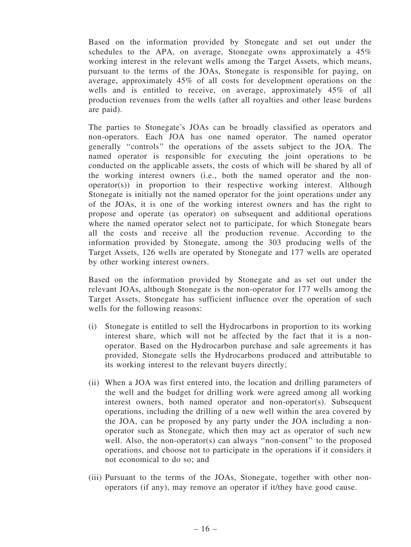Based on the information provided by Stonegate and set out under the schedules to the APA, on average, Stonegate owns approximately a 45% working interest in the relevant wells among the Target Assets, which means, pursuant to the terms of the JOAs, Stonegate is responsible for paying, on average, approximately 45% of all costs for development operations on the wells and is entitled to receive, on average, approximately 45% of all production revenues from the wells (after all royalties and other lease burdens are paid).

The parties to Stonegate's JOAs can be broadly classified as operators and non-operators. Each JOA has one named operator. The named operator generally ''controls'' the operations of the assets subject to the JOA. The named operator is responsible for executing the joint operations to be conducted on the applicable assets, the costs of which will be shared by all of the working interest owners (i.e., both the named operator and the nonoperator(s)) in proportion to their respective working interest. Although Stonegate is initially not the named operator for the joint operations under any of the JOAs, it is one of the working interest owners and has the right to propose and operate (as operator) on subsequent and additional operations where the named operator select not to participate, for which Stonegate bears all the costs and receive all the production revenue. According to the information provided by Stonegate, among the 303 producing wells of the Target Assets, 126 wells are operated by Stonegate and 177 wells are operated by other working interest owners.

Based on the information provided by Stonegate and as set out under the relevant JOAs, although Stonegate is the non-operator for 177 wells among the Target Assets, Stonegate has sufficient influence over the operation of such wells for the following reasons:

- (i) Stonegate is entitled to sell the Hydrocarbons in proportion to its working interest share, which will not be affected by the fact that it is a nonoperator. Based on the Hydrocarbon purchase and sale agreements it has provided, Stonegate sells the Hydrocarbons produced and attributable to its working interest to the relevant buyers directly;
- (ii) When a JOA was first entered into, the location and drilling parameters of the well and the budget for drilling work were agreed among all working interest owners, both named operator and non-operator(s). Subsequent operations, including the drilling of a new well within the area covered by the JOA, can be proposed by any party under the JOA including a nonoperator such as Stonegate, which then may act as operator of such new well. Also, the non-operator(s) can always "non-consent" to the proposed operations, and choose not to participate in the operations if it considers it not economical to do so; and
- (iii) Pursuant to the terms of the JOAs, Stonegate, together with other nonoperators (if any), may remove an operator if it/they have good cause.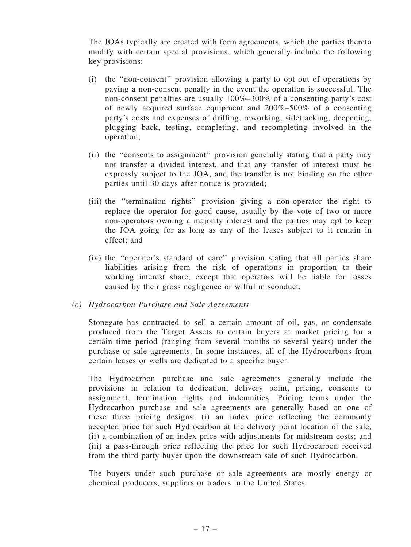The JOAs typically are created with form agreements, which the parties thereto modify with certain special provisions, which generally include the following key provisions:

- (i) the ''non-consent'' provision allowing a party to opt out of operations by paying a non-consent penalty in the event the operation is successful. The non-consent penalties are usually 100%–300% of a consenting party's cost of newly acquired surface equipment and 200%–500% of a consenting party's costs and expenses of drilling, reworking, sidetracking, deepening, plugging back, testing, completing, and recompleting involved in the operation;
- (ii) the ''consents to assignment'' provision generally stating that a party may not transfer a divided interest, and that any transfer of interest must be expressly subject to the JOA, and the transfer is not binding on the other parties until 30 days after notice is provided;
- (iii) the ''termination rights'' provision giving a non-operator the right to replace the operator for good cause, usually by the vote of two or more non-operators owning a majority interest and the parties may opt to keep the JOA going for as long as any of the leases subject to it remain in effect; and
- (iv) the ''operator's standard of care'' provision stating that all parties share liabilities arising from the risk of operations in proportion to their working interest share, except that operators will be liable for losses caused by their gross negligence or wilful misconduct.

#### (c) Hydrocarbon Purchase and Sale Agreements

Stonegate has contracted to sell a certain amount of oil, gas, or condensate produced from the Target Assets to certain buyers at market pricing for a certain time period (ranging from several months to several years) under the purchase or sale agreements. In some instances, all of the Hydrocarbons from certain leases or wells are dedicated to a specific buyer.

The Hydrocarbon purchase and sale agreements generally include the provisions in relation to dedication, delivery point, pricing, consents to assignment, termination rights and indemnities. Pricing terms under the Hydrocarbon purchase and sale agreements are generally based on one of these three pricing designs: (i) an index price reflecting the commonly accepted price for such Hydrocarbon at the delivery point location of the sale; (ii) a combination of an index price with adjustments for midstream costs; and (iii) a pass-through price reflecting the price for such Hydrocarbon received from the third party buyer upon the downstream sale of such Hydrocarbon.

The buyers under such purchase or sale agreements are mostly energy or chemical producers, suppliers or traders in the United States.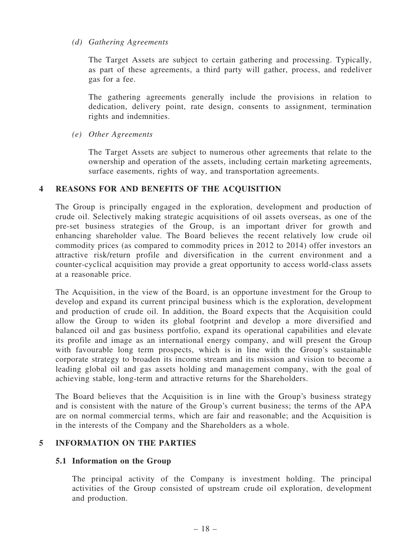#### (d) Gathering Agreements

The Target Assets are subject to certain gathering and processing. Typically, as part of these agreements, a third party will gather, process, and redeliver gas for a fee.

The gathering agreements generally include the provisions in relation to dedication, delivery point, rate design, consents to assignment, termination rights and indemnities.

(e) Other Agreements

The Target Assets are subject to numerous other agreements that relate to the ownership and operation of the assets, including certain marketing agreements, surface easements, rights of way, and transportation agreements.

#### 4 REASONS FOR AND BENEFITS OF THE ACQUISITION

The Group is principally engaged in the exploration, development and production of crude oil. Selectively making strategic acquisitions of oil assets overseas, as one of the pre-set business strategies of the Group, is an important driver for growth and enhancing shareholder value. The Board believes the recent relatively low crude oil commodity prices (as compared to commodity prices in 2012 to 2014) offer investors an attractive risk/return profile and diversification in the current environment and a counter-cyclical acquisition may provide a great opportunity to access world-class assets at a reasonable price.

The Acquisition, in the view of the Board, is an opportune investment for the Group to develop and expand its current principal business which is the exploration, development and production of crude oil. In addition, the Board expects that the Acquisition could allow the Group to widen its global footprint and develop a more diversified and balanced oil and gas business portfolio, expand its operational capabilities and elevate its profile and image as an international energy company, and will present the Group with favourable long term prospects, which is in line with the Group's sustainable corporate strategy to broaden its income stream and its mission and vision to become a leading global oil and gas assets holding and management company, with the goal of achieving stable, long-term and attractive returns for the Shareholders.

The Board believes that the Acquisition is in line with the Group's business strategy and is consistent with the nature of the Group's current business; the terms of the APA are on normal commercial terms, which are fair and reasonable; and the Acquisition is in the interests of the Company and the Shareholders as a whole.

#### 5 INFORMATION ON THE PARTIES

#### 5.1 Information on the Group

The principal activity of the Company is investment holding. The principal activities of the Group consisted of upstream crude oil exploration, development and production.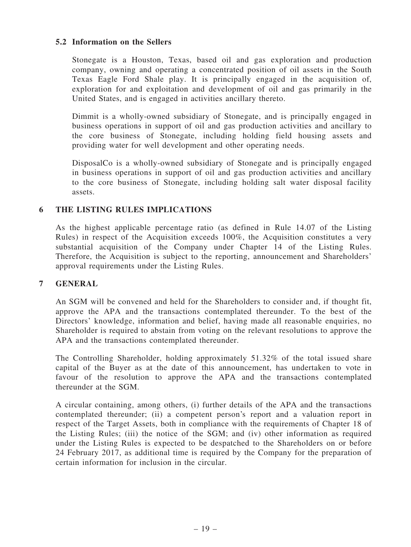#### 5.2 Information on the Sellers

Stonegate is a Houston, Texas, based oil and gas exploration and production company, owning and operating a concentrated position of oil assets in the South Texas Eagle Ford Shale play. It is principally engaged in the acquisition of, exploration for and exploitation and development of oil and gas primarily in the United States, and is engaged in activities ancillary thereto.

Dimmit is a wholly-owned subsidiary of Stonegate, and is principally engaged in business operations in support of oil and gas production activities and ancillary to the core business of Stonegate, including holding field housing assets and providing water for well development and other operating needs.

DisposalCo is a wholly-owned subsidiary of Stonegate and is principally engaged in business operations in support of oil and gas production activities and ancillary to the core business of Stonegate, including holding salt water disposal facility assets.

#### 6 THE LISTING RULES IMPLICATIONS

As the highest applicable percentage ratio (as defined in Rule 14.07 of the Listing Rules) in respect of the Acquisition exceeds 100%, the Acquisition constitutes a very substantial acquisition of the Company under Chapter 14 of the Listing Rules. Therefore, the Acquisition is subject to the reporting, announcement and Shareholders' approval requirements under the Listing Rules.

#### 7 GENERAL

An SGM will be convened and held for the Shareholders to consider and, if thought fit, approve the APA and the transactions contemplated thereunder. To the best of the Directors' knowledge, information and belief, having made all reasonable enquiries, no Shareholder is required to abstain from voting on the relevant resolutions to approve the APA and the transactions contemplated thereunder.

The Controlling Shareholder, holding approximately 51.32% of the total issued share capital of the Buyer as at the date of this announcement, has undertaken to vote in favour of the resolution to approve the APA and the transactions contemplated thereunder at the SGM.

A circular containing, among others, (i) further details of the APA and the transactions contemplated thereunder; (ii) a competent person's report and a valuation report in respect of the Target Assets, both in compliance with the requirements of Chapter 18 of the Listing Rules; (iii) the notice of the SGM; and (iv) other information as required under the Listing Rules is expected to be despatched to the Shareholders on or before 24 February 2017, as additional time is required by the Company for the preparation of certain information for inclusion in the circular.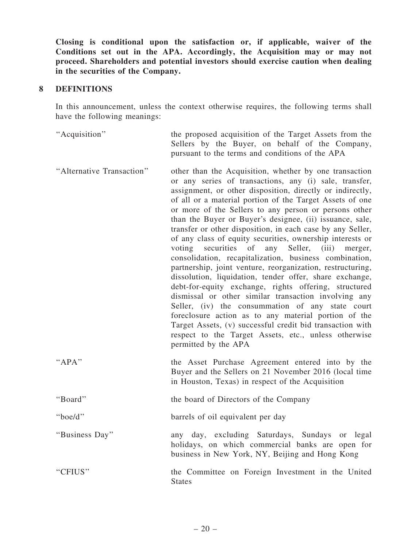Closing is conditional upon the satisfaction or, if applicable, waiver of the Conditions set out in the APA. Accordingly, the Acquisition may or may not proceed. Shareholders and potential investors should exercise caution when dealing in the securities of the Company.

#### 8 DEFINITIONS

In this announcement, unless the context otherwise requires, the following terms shall have the following meanings:

''Acquisition'' the proposed acquisition of the Target Assets from the Sellers by the Buyer, on behalf of the Company, pursuant to the terms and conditions of the APA

- ''Alternative Transaction'' other than the Acquisition, whether by one transaction or any series of transactions, any (i) sale, transfer, assignment, or other disposition, directly or indirectly, of all or a material portion of the Target Assets of one or more of the Sellers to any person or persons other than the Buyer or Buyer's designee, (ii) issuance, sale, transfer or other disposition, in each case by any Seller, of any class of equity securities, ownership interests or voting securities of any Seller, (iii) merger, consolidation, recapitalization, business combination, partnership, joint venture, reorganization, restructuring, dissolution, liquidation, tender offer, share exchange, debt-for-equity exchange, rights offering, structured dismissal or other similar transaction involving any Seller, (iv) the consummation of any state court foreclosure action as to any material portion of the Target Assets, (v) successful credit bid transaction with respect to the Target Assets, etc., unless otherwise permitted by the APA
- "APA" the Asset Purchase Agreement entered into by the Buyer and the Sellers on 21 November 2016 (local time in Houston, Texas) in respect of the Acquisition
- ''Board'' the board of Directors of the Company

''boe/d'' barrels of oil equivalent per day

''Business Day'' any day, excluding Saturdays, Sundays or legal holidays, on which commercial banks are open for business in New York, NY, Beijing and Hong Kong

''CFIUS'' the Committee on Foreign Investment in the United **States**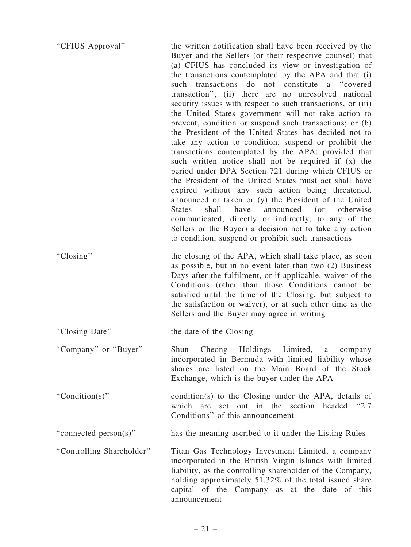| "CFIUS Approval"          | the written notification shall have been received by the<br>Buyer and the Sellers (or their respective counsel) that<br>(a) CFIUS has concluded its view or investigation of<br>the transactions contemplated by the APA and that (i)<br>such transactions do not constitute a "covered<br>transaction", (ii) there are no unresolved national<br>security issues with respect to such transactions, or (iii)<br>the United States government will not take action to<br>prevent, condition or suspend such transactions; or (b)<br>the President of the United States has decided not to<br>take any action to condition, suspend or prohibit the<br>transactions contemplated by the APA; provided that<br>such written notice shall not be required if (x) the<br>period under DPA Section 721 during which CFIUS or<br>the President of the United States must act shall have<br>expired without any such action being threatened,<br>announced or taken or (y) the President of the United<br>have<br><b>States</b><br>shall<br>announced (or<br>otherwise<br>communicated, directly or indirectly, to any of the<br>Sellers or the Buyer) a decision not to take any action<br>to condition, suspend or prohibit such transactions |
|---------------------------|------------------------------------------------------------------------------------------------------------------------------------------------------------------------------------------------------------------------------------------------------------------------------------------------------------------------------------------------------------------------------------------------------------------------------------------------------------------------------------------------------------------------------------------------------------------------------------------------------------------------------------------------------------------------------------------------------------------------------------------------------------------------------------------------------------------------------------------------------------------------------------------------------------------------------------------------------------------------------------------------------------------------------------------------------------------------------------------------------------------------------------------------------------------------------------------------------------------------------------------|
| "Closing"                 | the closing of the APA, which shall take place, as soon<br>as possible, but in no event later than two (2) Business<br>Days after the fulfilment, or if applicable, waiver of the<br>Conditions (other than those Conditions cannot be<br>satisfied until the time of the Closing, but subject to<br>the satisfaction or waiver), or at such other time as the<br>Sellers and the Buyer may agree in writing                                                                                                                                                                                                                                                                                                                                                                                                                                                                                                                                                                                                                                                                                                                                                                                                                             |
| "Closing Date"            | the date of the Closing                                                                                                                                                                                                                                                                                                                                                                                                                                                                                                                                                                                                                                                                                                                                                                                                                                                                                                                                                                                                                                                                                                                                                                                                                  |
| "Company" or "Buyer"      | Shun Cheong Holdings Limited,<br>a<br>company<br>incorporated in Bermuda with limited liability whose<br>shares are listed on the Main Board of the Stock<br>Exchange, which is the buyer under the APA                                                                                                                                                                                                                                                                                                                                                                                                                                                                                                                                                                                                                                                                                                                                                                                                                                                                                                                                                                                                                                  |
| "Condition(s)"            | condition(s) to the Closing under the APA, details of<br>set out in the section headed "2.7<br>which are<br>Conditions" of this announcement                                                                                                                                                                                                                                                                                                                                                                                                                                                                                                                                                                                                                                                                                                                                                                                                                                                                                                                                                                                                                                                                                             |
| "connected person(s)"     | has the meaning ascribed to it under the Listing Rules                                                                                                                                                                                                                                                                                                                                                                                                                                                                                                                                                                                                                                                                                                                                                                                                                                                                                                                                                                                                                                                                                                                                                                                   |
| "Controlling Shareholder" | Titan Gas Technology Investment Limited, a company<br>incorporated in the British Virgin Islands with limited<br>liability, as the controlling shareholder of the Company,<br>holding approximately 51.32% of the total issued share<br>capital of the Company as at the date of this<br>announcement                                                                                                                                                                                                                                                                                                                                                                                                                                                                                                                                                                                                                                                                                                                                                                                                                                                                                                                                    |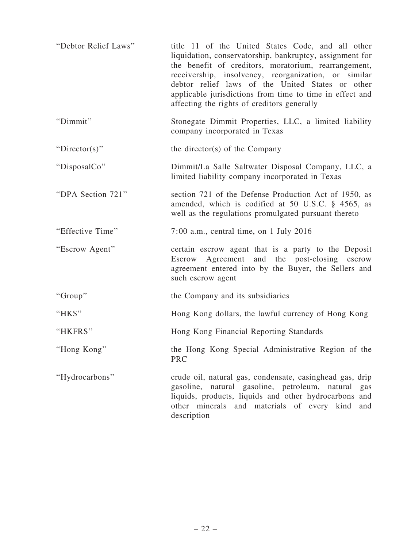| "Debtor Relief Laws" | title 11 of the United States Code, and all other<br>liquidation, conservatorship, bankruptcy, assignment for<br>the benefit of creditors, moratorium, rearrangement,<br>receivership, insolvency, reorganization, or similar<br>debtor relief laws of the United States or other<br>applicable jurisdictions from time to time in effect and<br>affecting the rights of creditors generally |
|----------------------|----------------------------------------------------------------------------------------------------------------------------------------------------------------------------------------------------------------------------------------------------------------------------------------------------------------------------------------------------------------------------------------------|
| "Dimmit"             | Stonegate Dimmit Properties, LLC, a limited liability<br>company incorporated in Texas                                                                                                                                                                                                                                                                                                       |
| "Director(s)"        | the director(s) of the Company                                                                                                                                                                                                                                                                                                                                                               |
| "DisposalCo"         | Dimmit/La Salle Saltwater Disposal Company, LLC, a<br>limited liability company incorporated in Texas                                                                                                                                                                                                                                                                                        |
| "DPA Section 721"    | section 721 of the Defense Production Act of 1950, as<br>amended, which is codified at 50 U.S.C. § 4565, as<br>well as the regulations promulgated pursuant thereto                                                                                                                                                                                                                          |
| "Effective Time"     | 7:00 a.m., central time, on 1 July 2016                                                                                                                                                                                                                                                                                                                                                      |
| "Escrow Agent"       | certain escrow agent that is a party to the Deposit<br>Escrow Agreement and the post-closing escrow<br>agreement entered into by the Buyer, the Sellers and<br>such escrow agent                                                                                                                                                                                                             |
| "Group"              | the Company and its subsidiaries                                                                                                                                                                                                                                                                                                                                                             |
| "HK\$"               | Hong Kong dollars, the lawful currency of Hong Kong                                                                                                                                                                                                                                                                                                                                          |
| "HKFRS"              | Hong Kong Financial Reporting Standards                                                                                                                                                                                                                                                                                                                                                      |
| "Hong Kong"          | the Hong Kong Special Administrative Region of the<br><b>PRC</b>                                                                                                                                                                                                                                                                                                                             |
| "Hydrocarbons"       | crude oil, natural gas, condensate, casinghead gas, drip<br>gasoline, natural gasoline, petroleum, natural<br>gas<br>liquids, products, liquids and other hydrocarbons and<br>other minerals and materials of every kind<br>and<br>description                                                                                                                                               |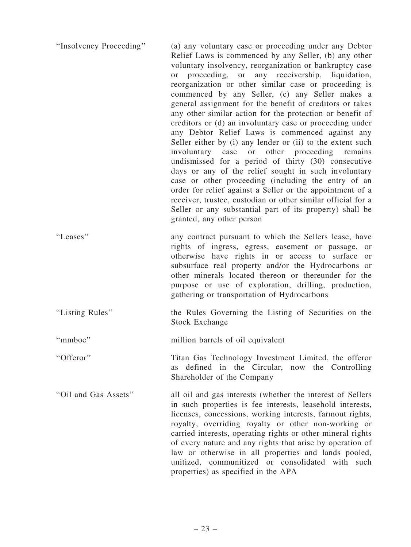| "Insolvency Proceeding" | (a) any voluntary case or proceeding under any Debtor<br>Relief Laws is commenced by any Seller, (b) any other<br>voluntary insolvency, reorganization or bankruptcy case<br>or proceeding, or any receivership, liquidation,<br>reorganization or other similar case or proceeding is<br>commenced by any Seller, (c) any Seller makes a<br>general assignment for the benefit of creditors or takes<br>any other similar action for the protection or benefit of<br>creditors or (d) an involuntary case or proceeding under<br>any Debtor Relief Laws is commenced against any<br>Seller either by (i) any lender or (ii) to the extent such<br>involuntary case or other proceeding<br>remains<br>undismissed for a period of thirty (30) consecutive<br>days or any of the relief sought in such involuntary<br>case or other proceeding (including the entry of an<br>order for relief against a Seller or the appointment of a<br>receiver, trustee, custodian or other similar official for a<br>Seller or any substantial part of its property) shall be<br>granted, any other person |
|-------------------------|------------------------------------------------------------------------------------------------------------------------------------------------------------------------------------------------------------------------------------------------------------------------------------------------------------------------------------------------------------------------------------------------------------------------------------------------------------------------------------------------------------------------------------------------------------------------------------------------------------------------------------------------------------------------------------------------------------------------------------------------------------------------------------------------------------------------------------------------------------------------------------------------------------------------------------------------------------------------------------------------------------------------------------------------------------------------------------------------|
| "Leases"                | any contract pursuant to which the Sellers lease, have<br>rights of ingress, egress, easement or passage, or<br>otherwise have rights in or access to surface or<br>subsurface real property and/or the Hydrocarbons or<br>other minerals located thereon or thereunder for the<br>purpose or use of exploration, drilling, production,<br>gathering or transportation of Hydrocarbons                                                                                                                                                                                                                                                                                                                                                                                                                                                                                                                                                                                                                                                                                                         |
| "Listing Rules"         | the Rules Governing the Listing of Securities on the<br><b>Stock Exchange</b>                                                                                                                                                                                                                                                                                                                                                                                                                                                                                                                                                                                                                                                                                                                                                                                                                                                                                                                                                                                                                  |
| "mmboe"                 | million barrels of oil equivalent                                                                                                                                                                                                                                                                                                                                                                                                                                                                                                                                                                                                                                                                                                                                                                                                                                                                                                                                                                                                                                                              |
| "Offeror"               | Titan Gas Technology Investment Limited, the offeror<br>defined in the Circular, now the Controlling<br><b>as</b><br>Shareholder of the Company                                                                                                                                                                                                                                                                                                                                                                                                                                                                                                                                                                                                                                                                                                                                                                                                                                                                                                                                                |
| "Oil and Gas Assets"    | all oil and gas interests (whether the interest of Sellers<br>in such properties is fee interests, leasehold interests,<br>licenses, concessions, working interests, farmout rights,<br>royalty, overriding royalty or other non-working or<br>carried interests, operating rights or other mineral rights<br>of every nature and any rights that arise by operation of<br>law or otherwise in all properties and lands pooled,<br>unitized, communitized or consolidated with such<br>properties) as specified in the APA                                                                                                                                                                                                                                                                                                                                                                                                                                                                                                                                                                     |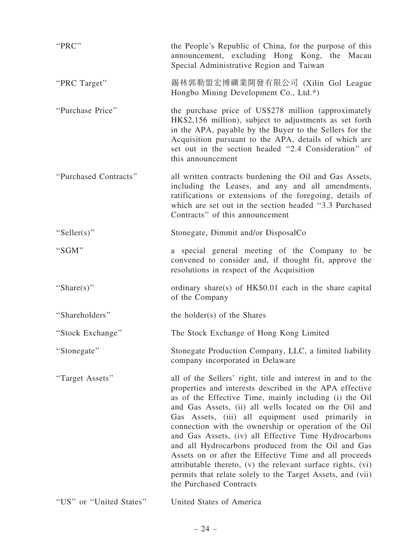| "PRC"                   | the People's Republic of China, for the purpose of this<br>announcement, excluding Hong Kong, the Macau<br>Special Administrative Region and Taiwan                                                                                                                                                                                                                                                                                                                                                                                                                                                                                                                                     |
|-------------------------|-----------------------------------------------------------------------------------------------------------------------------------------------------------------------------------------------------------------------------------------------------------------------------------------------------------------------------------------------------------------------------------------------------------------------------------------------------------------------------------------------------------------------------------------------------------------------------------------------------------------------------------------------------------------------------------------|
| "PRC Target"            | 錫林郭勒盟宏博礦業開發有限公司 (Xilin Gol League<br>Hongbo Mining Development Co., Ltd.*)                                                                                                                                                                                                                                                                                                                                                                                                                                                                                                                                                                                                              |
| "Purchase Price"        | the purchase price of US\$278 million (approximately<br>HK\$2,156 million), subject to adjustments as set forth<br>in the APA, payable by the Buyer to the Sellers for the<br>Acquisition pursuant to the APA, details of which are<br>set out in the section headed "2.4 Consideration" of<br>this announcement                                                                                                                                                                                                                                                                                                                                                                        |
| "Purchased Contracts"   | all written contracts burdening the Oil and Gas Assets,<br>including the Leases, and any and all amendments,<br>ratifications or extensions of the foregoing, details of<br>which are set out in the section headed "3.3 Purchased"<br>Contracts" of this announcement                                                                                                                                                                                                                                                                                                                                                                                                                  |
| "Seller(s)"             | Stonegate, Dimmit and/or DisposalCo                                                                                                                                                                                                                                                                                                                                                                                                                                                                                                                                                                                                                                                     |
| "SGM"                   | a special general meeting of the Company to be<br>convened to consider and, if thought fit, approve the<br>resolutions in respect of the Acquisition                                                                                                                                                                                                                                                                                                                                                                                                                                                                                                                                    |
| "Share(s)"              | ordinary share(s) of HK\$0.01 each in the share capital<br>of the Company                                                                                                                                                                                                                                                                                                                                                                                                                                                                                                                                                                                                               |
| "Shareholders"          | the holder(s) of the Shares                                                                                                                                                                                                                                                                                                                                                                                                                                                                                                                                                                                                                                                             |
| "Stock Exchange"        | The Stock Exchange of Hong Kong Limited                                                                                                                                                                                                                                                                                                                                                                                                                                                                                                                                                                                                                                                 |
| "Stonegate"             | Stonegate Production Company, LLC, a limited liability<br>company incorporated in Delaware                                                                                                                                                                                                                                                                                                                                                                                                                                                                                                                                                                                              |
| "Target Assets"         | all of the Sellers' right, title and interest in and to the<br>properties and interests described in the APA effective<br>as of the Effective Time, mainly including (i) the Oil<br>and Gas Assets, (ii) all wells located on the Oil and<br>Gas Assets, (iii) all equipment used primarily in<br>connection with the ownership or operation of the Oil<br>and Gas Assets, (iv) all Effective Time Hydrocarbons<br>and all Hydrocarbons produced from the Oil and Gas<br>Assets on or after the Effective Time and all proceeds<br>attributable thereto, (v) the relevant surface rights, (vi)<br>permits that relate solely to the Target Assets, and (vii)<br>the Purchased Contracts |
| "US" or "United States" | United States of America                                                                                                                                                                                                                                                                                                                                                                                                                                                                                                                                                                                                                                                                |